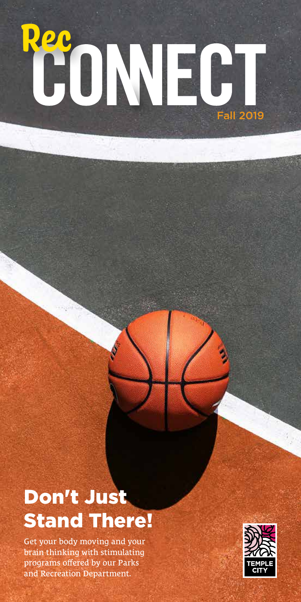# Fall 2019 **Rec**<br>CONEC

## Don't Just Stand There!

Get your body moving and your brain thinking with stimulating programs offered by our Parks and Recreation Department.

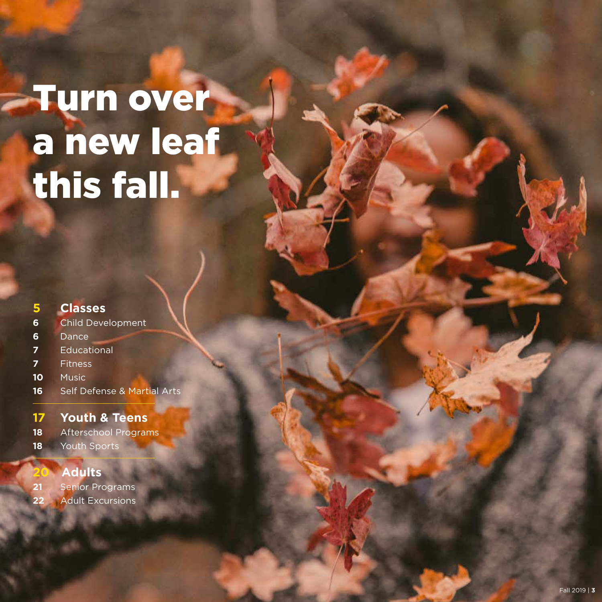## **Turn over** a new leaf this fall.

### **Classes** Child Development Dance Educational Fitness Music Self Defense & Martial Arts **Youth & Teens**

- Afterschool Programs
- 18 Youth Sports

#### Adults

- Senior Programs
- Adult Excursions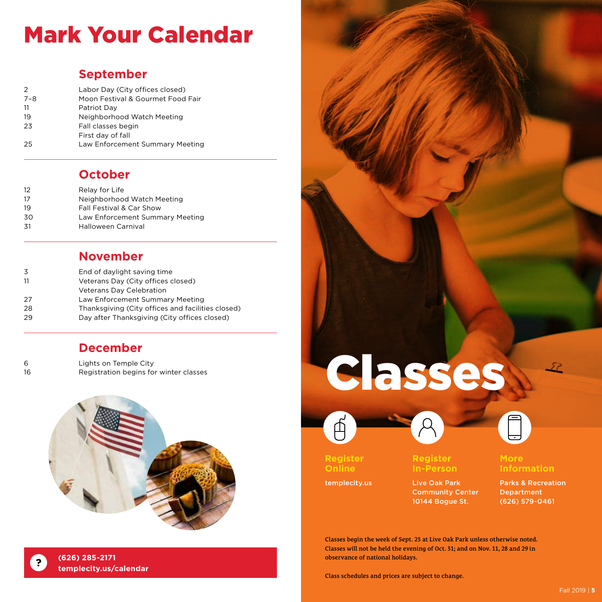## Mark Your Calendar

#### **September**

| $\mathcal{P}$ | Labor Day (City offices closed)   |
|---------------|-----------------------------------|
| $7 - 8$       | Moon Festival & Gourmet Food Fair |
| -11           | Patriot Day                       |
| 19            | Neighborhood Watch Meeting        |
| 23            | Fall classes begin                |
|               | First day of fall                 |
| 25            | Law Enforcement Summary Meeting   |

#### **October**

| 12  | Relay for Life                  |
|-----|---------------------------------|
| 17  | Neighborhood Watch Meeting      |
| 19  | Fall Festival & Car Show        |
| 30  | Law Enforcement Summary Meeting |
| .31 | <b>Halloween Carnival</b>       |

#### **November**

| 3   | End of daylight saving time                       |
|-----|---------------------------------------------------|
| -11 | Veterans Day (City offices closed)                |
|     | <b>Veterans Day Celebration</b>                   |
| 27  | Law Enforcement Summary Meeting                   |
| 28  | Thanksgiving (City offices and facilities closed) |
| 29  | Day after Thanksgiving (City offices closed)      |
|     |                                                   |

#### **December**

| 6  | Lights on Temple City                  |
|----|----------------------------------------|
| 16 | Registration begins for winter classes |



# Classes





**Register Online**

templecity.us







#### **More Information**

Live Oak Park Community Center 10144 Bogue St.

Parks & Recreation Department (626) 579-0461

Classes begin the week of Sept. 23 at Live Oak Park unless otherwise noted. Classes will not be held the evening of Oct. 31; and on Nov. 11, 28 and 29 in observance of national holidays.

**In-Person**

Class schedules and prices are subject to change.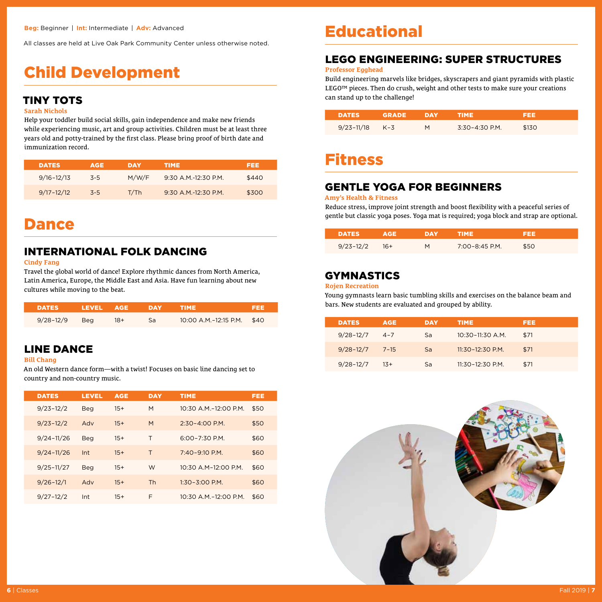All classes are held at Live Oak Park Community Center unless otherwise noted.

## Child Development

#### TINY TOTS

#### **Sarah Nichols**

Help your toddler build social skills, gain independence and make new friends while experiencing music, art and group activities. Children must be at least three years old and potty-trained by the first class. Please bring proof of birth date and immunization record.

| <b>DATES</b>   | <b>AGE</b> | DAY   | TIME.                | FEE.  |
|----------------|------------|-------|----------------------|-------|
| $9/16 - 12/13$ | $-5-5$     | M/W/F | 9:30 A.M.-12:30 P.M. | \$440 |
| $9/17 - 12/12$ | $-5-5$     | T/Th  | $9.30$ A M -12:30 PM | \$300 |

### Dance

#### INTERNATIONAL FOLK DANCING

#### **Cindy Fang**

Travel the global world of dance! Explore rhythmic dances from North America, Latin America, Europe, the Middle East and Asia. Have fun learning about new cultures while moving to the beat.

| <b>DATES A</b>    | LEVEL AGE. |       | $\blacksquare$ | <b>TIME</b>                | FEE |
|-------------------|------------|-------|----------------|----------------------------|-----|
| $9/28 - 12/9$ Beg |            | $18+$ | Sa             | 10:00 A.M.-12:15 P.M. \$40 |     |

#### LINE DANCE

#### **Bill Chang**

An old Western dance form—with a twist! Focuses on basic line dancing set to country and non-country music.

| <b>DATES</b>   | <b>LEVEL</b> | <b>AGE</b> | <b>DAY</b> | <b>TIME</b>            | FEE  |
|----------------|--------------|------------|------------|------------------------|------|
| $9/23 - 12/2$  | <b>Beg</b>   | $15+$      | M          | 10:30 A.M.-12:00 P.M.  | \$50 |
| $9/23 - 12/2$  | Adv          | $15+$      | M          | $2:30-4:00$ P.M.       | \$50 |
| $9/24 - 11/26$ | <b>Beg</b>   | $15+$      | т          | $6.00 - 7.30$ P.M.     | \$60 |
| $9/24 - 11/26$ | Int          | $15+$      | т          | $7:40-9:10 P.M.$       | \$60 |
| $9/25 - 11/27$ | <b>Beg</b>   | $15+$      | W          | $10:30$ A M-12:00 P.M. | \$60 |
| $9/26 - 12/1$  | Adv          | $15+$      | <b>Th</b>  | $1:30 - 3:00$ P.M.     | \$60 |
| $9/27 - 12/2$  | Int          | $15+$      | F          | 10:30 A.M.-12:00 P.M.  | \$60 |

### Educational

#### LEGO ENGINEERING: SUPER STRUCTURES

#### **Professor Egghead**

Build engineering marvels like bridges, skyscrapers and giant pyramids with plastic LEGO™ pieces. Then do crush, weight and other tests to make sure your creations can stand up to the challenge!

| DATES Z            | GRADE | DAY | TIME.              | 899   |
|--------------------|-------|-----|--------------------|-------|
| $9/23 - 11/18$ K-3 |       | м   | $3:30 - 4:30$ P.M. | \$130 |

### Fitness

#### **GENTLE YOGA FOR BEGINNERS**

#### **Amy's Health & Fitness**

Reduce stress, improve joint strength and boost flexibility with a peaceful series of gentle but classic yoga poses. Yoga mat is required; yoga block and strap are optional.

| <b>DATESZ</b> | ла⊐   | DAY | 19 I ALEXAND   |      |
|---------------|-------|-----|----------------|------|
| $9/23 - 12/2$ | $16+$ | м   | 7:00-8:45 P.M. | \$50 |

#### GYMNASTICS

#### **Rojen Recreation**

Young gymnasts learn basic tumbling skills and exercises on the balance beam and bars. New students are evaluated and grouped by ability.

| <b>DATES</b>  | <b>AGE</b> | DAY | <b>TIME</b>          | FEE  |
|---------------|------------|-----|----------------------|------|
| $9/28 - 12/7$ | $4 - 7$    | Sa  | $10:30 - 11:30$ A.M. | \$71 |
| $9/28 - 12/7$ | $7 - 15$   | Sa  | $11:30 - 12:30$ P.M. | \$71 |
| $9/28 - 12/7$ | $13+$      | Sa  | 11:30-12:30 P.M.     | \$71 |

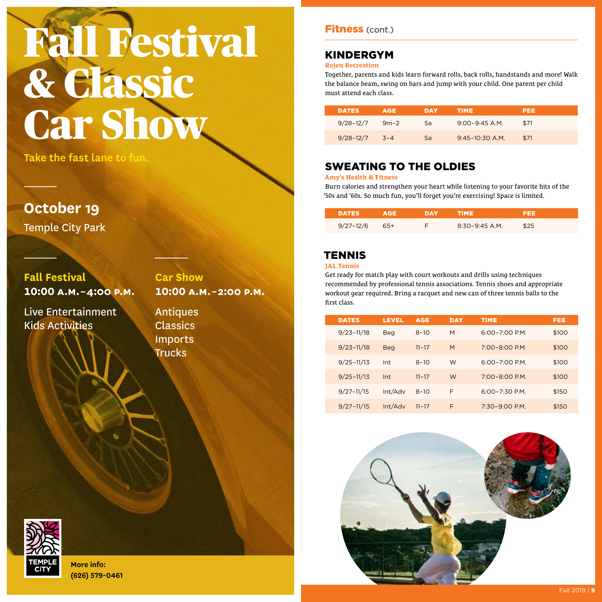## Fall Festival & Classic **Car Show**

**Take the fast lane to fun.**

**October 19**

Temple City Park

**Fall Festival 10:00 A.M. – 4:00 P.M.**

Live Entertainment Kids Activities

**Car Show 10:00 A.M. – 2:00 P.M.**

Antiques Classics Imports **Trucks** 



#### KINDERGYM

#### **Rojen Recreation**

Together, parents and kids learn forward rolls, back rolls, handstands and more! Walk the balance beam, swing on bars and jump with your child. One parent per child must attend each class.

| <b>DATES</b>  | <b>AGE</b> | DAY | TIME.              | FEE  |
|---------------|------------|-----|--------------------|------|
| $9/28 - 12/7$ | $9m-2$     | Sa  | $9:00 - 9:45$ A.M. | \$71 |
| $9/28 - 12/7$ | $3 - 4$    | Sa  | $9:45-10:30$ A.M.  | \$71 |

#### SWEATING TO THE OLDIES

#### **Amy's Health & Fitness**

Burn calories and strengthen your heart while listening to your favorite hits of the '50s and '60s. So much fun, you'll forget you're exercising! Space is limited.

| DATES         | ₹d∃ | DYAY | TIME             |      |
|---------------|-----|------|------------------|------|
| $9/27 - 12/6$ | 65+ |      | $8:30-9:45$ A.M. | \$25 |

#### **TENNIS**

#### **JAL Tennis**

Get ready for match play with court workouts and drills using techniques recommended by professional tennis associations. Tennis shoes and appropriate workout gear required. Bring a racquet and new can of three tennis balls to the first class.

| <b>DATES</b> |                | <b>LEVEL</b> | <b>AGE</b> | <b>DAY</b> | <b>TIME</b>        | FEE   |
|--------------|----------------|--------------|------------|------------|--------------------|-------|
|              | $9/23 - 11/18$ | Beg          | $8 - 10$   | M          | $6:00 - 7:00$ P.M. | \$100 |
|              | $9/23 - 11/18$ | <b>Beg</b>   | $11 - 17$  | M          | 7:00-8:00 P.M.     | \$100 |
|              | $9/25 - 11/13$ | Int          | $8 - 10$   | W          | $6:00 - 7:00$ P.M. | \$100 |
|              | $9/25 - 11/13$ | Int          | $11 - 17$  | W          | $7:00 - 8:00$ P.M. | \$100 |
|              | $9/27 - 11/15$ | Int/Adv      | $8 - 10$   | F          | $6:00 - 7:30$ P.M. | \$150 |
|              | $9/27 - 11/15$ | Int/Adv      | $11 - 17$  | F          | $7:30-9:00$ P.M.   | \$150 |



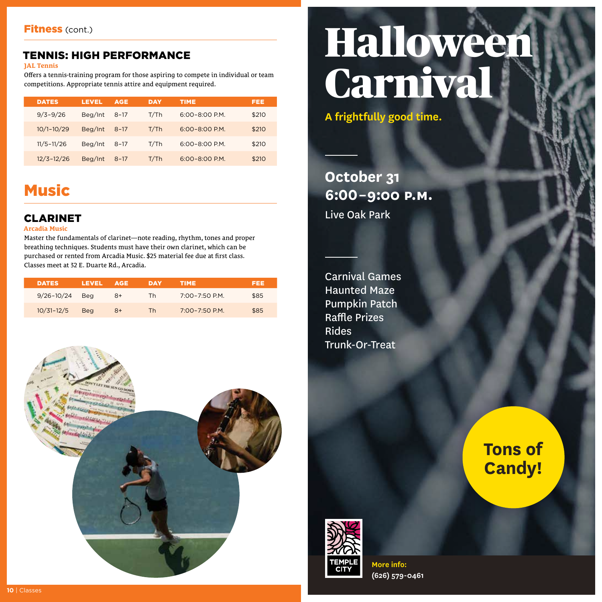#### TENNIS: HIGH PERFORMANCE

#### **JAL Tennis**

Offers a tennis-training program for those aspiring to compete in individual or team competitions. Appropriate tennis attire and equipment required.

| <b>DATES</b>   | LEVEL   | <b>AGE</b> | <b>DAY</b> | <b>TIME</b>        | FEE   |
|----------------|---------|------------|------------|--------------------|-------|
| $9/3 - 9/26$   | Beg/Int | $8 - 17$   | T/Th       | $6:00 - 8:00$ P.M. | \$210 |
| $10/1 - 10/29$ | Beg/Int | $8 - 17$   | T/Th       | $6:00 - 8:00$ P.M. | \$210 |
| $11/5 - 11/26$ | Beg/Int | $8 - 17$   | T/Th       | $6:00 - 8:00$ P.M. | \$210 |
| $12/3 - 12/26$ | Beg/Int | $8 - 17$   | T/Th       | $6:00 - 8:00$ P.M. | \$210 |

## **Music**

#### CLARINET

#### **Arcadia Music**

Master the fundamentals of clarinet—note reading, rhythm, tones and proper breathing techniques. Students must have their own clarinet, which can be purchased or rented from Arcadia Music. \$25 material fee due at first class. Classes meet at 32 E. Duarte Rd., Arcadia.

| <b>DATES</b>   | LEVEL      | AGE | DAY       | TIME.          | 1333 |
|----------------|------------|-----|-----------|----------------|------|
| $9/26 - 10/24$ | Bea        | 8+  | <b>Th</b> | 7:00-7:50 P.M. | \$85 |
| $10/31 - 12/5$ | <b>Beg</b> | 8+  | Th        | 7:00-7:50 P.M. | \$85 |



## Halloween Carnival

**A frightfully good time.**

**October 31 6:00 – 9:00 P.M.** Live Oak Park

Carnival Games Haunted Maze Pumpkin Patch Raffle Prizes Rides Trunk-Or-Treat

> **Tons of Candy!**

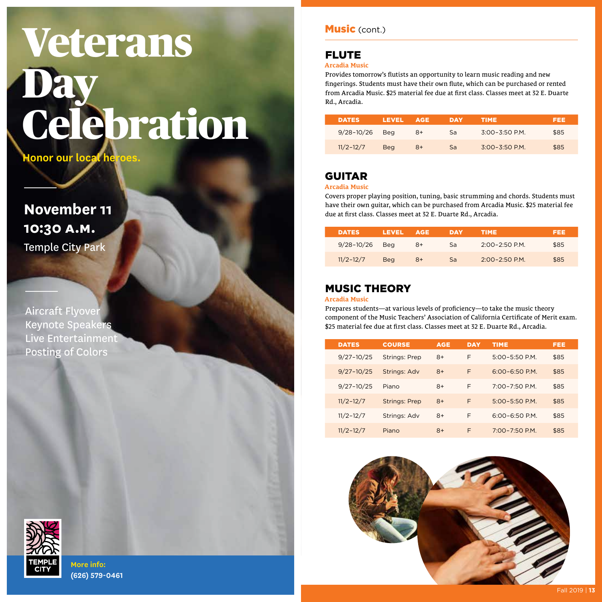## Veterans **Day** Celebration

**Honor our local heroes.**

**November 11 10:30 a.M.** Temple City Park

Aircraft Flyover Keynote Speakers Live Entertainment Posting of Colors

#### Music (cont.)

#### FLUTE

#### **Arcadia Music**

Provides tomorrow's flutists an opportunity to learn music reading and new fingerings. Students must have their own flute, which can be purchased or rented from Arcadia Music. \$25 material fee due at first class. Classes meet at 32 E. Duarte Rd., Arcadia.

| <b>DATES</b>   | LEVEL | AGE  | DAY | <b>TIME</b>        | FEE  |
|----------------|-------|------|-----|--------------------|------|
| $9/28 - 10/26$ | Bea   | $8+$ | Sa  | $3:00 - 3:50$ P.M. | \$85 |
| $11/2 - 12/7$  | Bea   | 8+   | Sa  | $3:00 - 3:50$ P.M. | \$85 |

#### GUITAR

#### **Arcadia Music**

Covers proper playing position, tuning, basic strumming and chords. Students must have their own guitar, which can be purchased from Arcadia Music. \$25 material fee due at first class. Classes meet at 32 E. Duarte Rd., Arcadia.

| <b>DATES</b>   | LEVEL      | AGE. | DAY | <b>TIME</b>        | FEE  |
|----------------|------------|------|-----|--------------------|------|
| $9/28 - 10/26$ | Bea        | $8+$ | Sa  | $2.00 - 2.50$ P.M. | \$85 |
| $11/2 - 12/7$  | <b>Beg</b> | $8+$ | Sa  | $2.00 - 2.50$ P.M. | \$85 |

#### MUSIC THEORY

#### **Arcadia Music**

Prepares students—at various levels of proficiency—to take the music theory component of the Music Teachers' Association of California Certificate of Merit exam. \$25 material fee due at first class. Classes meet at 32 E. Duarte Rd., Arcadia.

| <b>DATES</b>   | <b>COURSE</b>        | <b>AGE</b> | <b>DAY</b> | <b>TIME</b>        | FEE  |
|----------------|----------------------|------------|------------|--------------------|------|
| $9/27 - 10/25$ | <b>Strings: Prep</b> | $8+$       | F          | $5:00 - 5:50$ P.M. | \$85 |
| $9/27 - 10/25$ | Strings: Adv         | $8+$       | F          | $6:00 - 6:50$ P.M. | \$85 |
| $9/27 - 10/25$ | Piano                | $8+$       | F          | $7:00 - 7:50$ P.M. | \$85 |
| $11/2 - 12/7$  | <b>Strings: Prep</b> | $8+$       | F          | $5:00 - 5:50$ P.M. | \$85 |
| $11/2 - 12/7$  | Strings: Adv         | $8+$       | F          | $6:00 - 6:50$ P.M. | \$85 |
| $11/2 - 12/7$  | Piano                | $8+$       | F          | $7:00 - 7:50$ P.M. | \$85 |



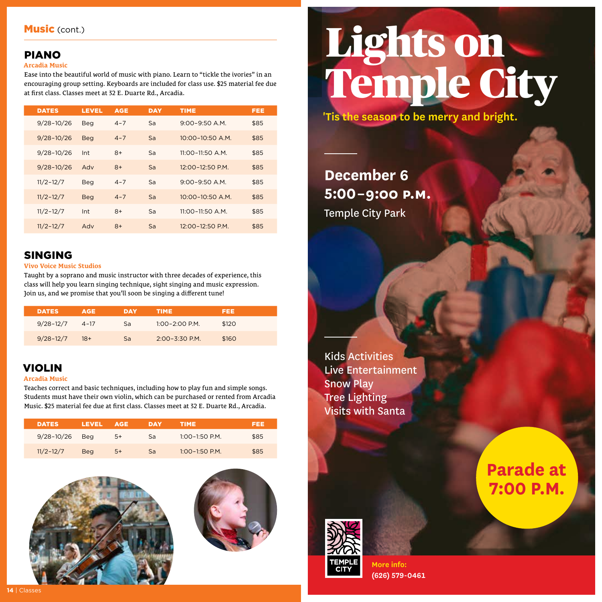#### PIANO

#### **Arcadia Music**

Ease into the beautiful world of music with piano. Learn to "tickle the ivories" in an encouraging group setting. Keyboards are included for class use. \$25 material fee due at first class. Classes meet at 32 E. Duarte Rd., Arcadia.

| <b>DATES</b>   | <b>LEVEL</b> | <b>AGE</b> | <b>DAY</b> | <b>TIME</b>          | FEE  |
|----------------|--------------|------------|------------|----------------------|------|
| $9/28 - 10/26$ | <b>Beg</b>   | $4 - 7$    | Sa         | $9:00 - 9:50$ A.M.   | \$85 |
| $9/28 - 10/26$ | <b>Beg</b>   | $4 - 7$    | Sa         | $10:00 - 10:50$ A.M. | \$85 |
| $9/28 - 10/26$ | Int          | $8+$       | Sa         | $11:00 - 11:50$ A.M. | \$85 |
| $9/28 - 10/26$ | Adv          | $8+$       | Sa         | 12:00-12:50 P.M.     | \$85 |
| $11/2 - 12/7$  | <b>Beg</b>   | $4 - 7$    | Sa         | $9:00 - 9:50$ A.M.   | \$85 |
| $11/2 - 12/7$  | <b>Beg</b>   | $4 - 7$    | Sa         | $10:00 - 10:50$ A.M. | \$85 |
| $11/2 - 12/7$  | Int          | $8+$       | Sa         | $11:00 - 11:50$ A.M. | \$85 |
| $11/2 - 12/7$  | Adv          | $8+$       | Sa         | 12:00-12:50 P.M.     | \$85 |

#### SINGING

#### **Vivo Voice Music Studios**

Taught by a soprano and music instructor with three decades of experience, this class will help you learn singing technique, sight singing and music expression. Join us, and we promise that you'll soon be singing a different tune!

| <b>DATES</b>  | <b>AGE</b> | DAY | TIME.              | IEEE. |  |
|---------------|------------|-----|--------------------|-------|--|
| $9/28 - 12/7$ | 4-17       | Sa  | $1:00 - 2:00$ P.M. | \$120 |  |
| $9/28 - 12/7$ | $18+$      | Sa  | $2.00 - 3.30$ P.M. | \$160 |  |

#### VIOLIN

#### **Arcadia Music**

Teaches correct and basic techniques, including how to play fun and simple songs. Students must have their own violin, which can be purchased or rented from Arcadia Music. \$25 material fee due at first class. Classes meet at 32 E. Duarte Rd., Arcadia.

| <b>DATES</b>   | <b>LEVEL</b> | AGE  | DAY | <b>TIME</b>      | FEE. |
|----------------|--------------|------|-----|------------------|------|
| $9/28 - 10/26$ | Bea          | 5+   | Sa  | $1:00-1:50$ P.M. | \$85 |
| $11/2 - 12/7$  | Bea          | $5+$ | Sa  | $1:00-1:50$ P.M. | \$85 |





## Lights on Temple City

**'Tis the season to be merry and bright.**

## **December 6 5:00 – 9:00 P.M.** Temple City Park

Kids Activities Live Entertainment Snow Play Tree Lighting Visits with Santa

> **Parade at 7:00 P.M.**

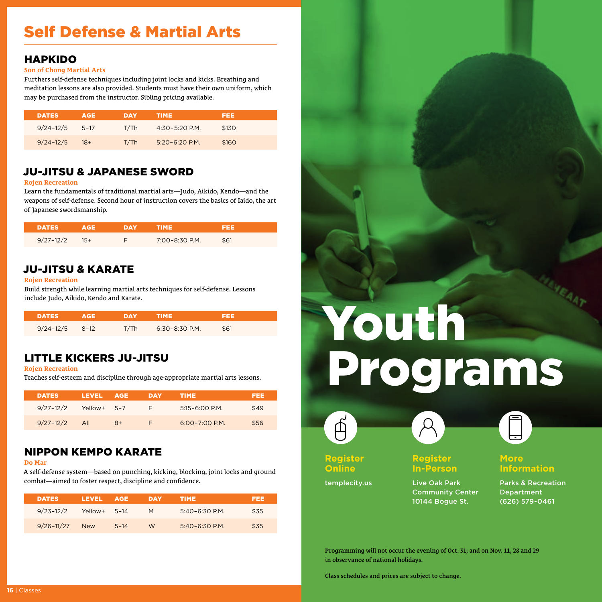## Self Defense & Martial Arts

#### HAPKIDO

#### **Son of Chong Martial Arts**

Furthers self-defense techniques including joint locks and kicks. Breathing and meditation lessons are also provided. Students must have their own uniform, which may be purchased from the instructor. Sibling pricing available.

| <b>DATES</b>  | <b>AGE</b> | DAY  | <b>TIME</b>        | FEE   |  |
|---------------|------------|------|--------------------|-------|--|
| $9/24 - 12/5$ | $5 - 17$   | T/Th | 4:30-5:20 P.M.     | \$130 |  |
| $9/24 - 12/5$ | - 18+      | T/Th | $5.20 - 6.20$ P.M. | \$160 |  |

#### JU-JITSU & JAPANESE SWORD

#### **Rojen Recreation**

Learn the fundamentals of traditional martial arts—Judo, Aikido, Kendo—and the weapons of self-defense. Second hour of instruction covers the basics of Iaido, the art of Japanese swordsmanship.

| DATES         |     | DYA V | TIME.          |      |  |
|---------------|-----|-------|----------------|------|--|
| $9/27 - 12/2$ | 15+ |       | 7:00-8:30 P.M. | \$61 |  |

#### JU-JITSU & KARATE

#### **Rojen Recreation**

Build strength while learning martial arts techniques for self-defense. Lessons include Judo, Aikido, Kendo and Karate.

| DATES A            | 'AGE . | DAY  | ▀▀▘▋▎▓▎▆▙▄▃      | EEE  |  |
|--------------------|--------|------|------------------|------|--|
| $9/24 - 12/5$ 8-12 |        | T/Th | $6:30-8:30$ P.M. | \$61 |  |

#### LITTLE KICKERS JU-JITSU

**Rojen Recreation**

Teaches self-esteem and discipline through age-appropriate martial arts lessons.

| <b>DATES</b>  | LEVEL.  | AGE     | DAY | TIME.              | FEEL |
|---------------|---------|---------|-----|--------------------|------|
| $9/27 - 12/2$ | Yellow+ | $5 - 7$ | F.  | $5:15 - 6:00$ P.M. | \$49 |
| $9/27 - 12/2$ | All     | $8+$    | F.  | $6:00 - 7:00$ P.M. | \$56 |

#### NIPPON KEMPO KARATE

#### **Do Mar**

A self-defense system—based on punching, kicking, blocking, joint locks and ground combat—aimed to foster respect, discipline and confidence.

| <b>DATES</b>   | LEVEL      | <b>AGE</b> | DAY | TIME.             | FEE  |
|----------------|------------|------------|-----|-------------------|------|
| $9/23 - 12/2$  | Yellow+    | $5 - 14$   | M   | 5:40-6:30 P.M.    | \$35 |
| $9/26 - 11/27$ | <b>New</b> | $5 - 14$   | W   | $5.40 - 6.30 P$ M | \$35 |

# Youth Programs



**Register Online**

templecity.us







**Register In-Person**

**More Information**

Live Oak Park Community Center 10144 Bogue St.

Parks & Recreation Department (626) 579-0461

Programming will not occur the evening of Oct. 31; and on Nov. 11, 28 and 29 in observance of national holidays.

Class schedules and prices are subject to change.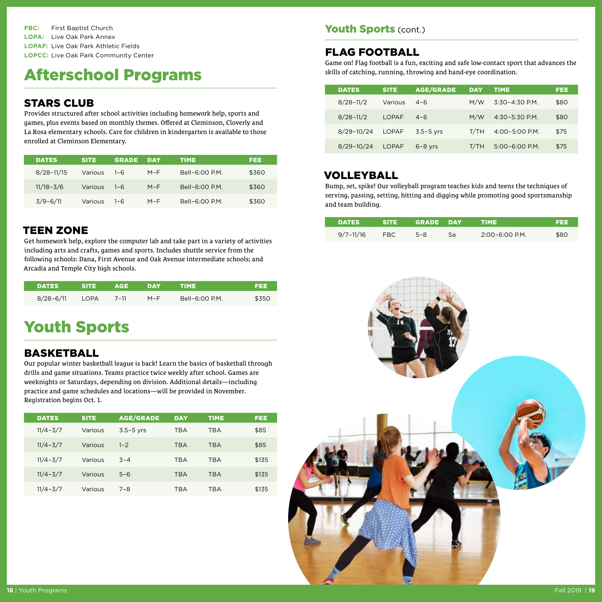**FBC:** First Baptist Church **LOPA:** Live Oak Park Annex **LOPAF:** Live Oak Park Athletic Fields **LOPCC:** Live Oak Park Community Center

## Afterschool Programs

#### STARS CLUB

Provides structured after school activities including homework help, sports and games, plus events based on monthly themes. Offered at Cleminson, Cloverly and La Rosa elementary schools. Care for children in kindergarten is available to those enrolled at Cleminson Elementary.

| <b>DATES</b>   | <b>SITE</b> | <b>GRADE</b> | DAY   | <b>TIME</b>   | FEE   |
|----------------|-------------|--------------|-------|---------------|-------|
| $8/28 - 11/15$ | Various     | $1 - 6$      | $M-F$ | $Bell-6:OOPM$ | \$360 |
| $11/18 - 3/6$  | Various     | $1 - 6$      | $M-F$ | $Bell-6:OOPM$ | \$360 |
| $3/9 - 6/11$   | Various     | $1 - 6$      | $M-F$ | $Bell-6:OOPM$ | \$360 |

#### TEEN ZONE

Get homework help, explore the computer lab and take part in a variety of activities including arts and crafts, games and sports. Includes shuttle service from the following schools: Dana, First Avenue and Oak Avenue intermediate schools; and Arcadia and Temple City high schools.

| <b>DATES</b> | SITE. | 'AGE /   | DAY | TIME'          | 692   |
|--------------|-------|----------|-----|----------------|-------|
| 8/28-6/11    | LOPA  | $7 - 11$ | M-F | Bell-6:00 P.M. | \$350 |

## Youth Sports

#### BASKETBALL

Our popular winter basketball league is back! Learn the basics of basketball through drills and game situations. Teams practice twice weekly after school. Games are weeknights or Saturdays, depending on division. Additional details—including practice and game schedules and locations—will be provided in November. Registration begins Oct. 1.

| <b>DATES</b> | <b>SITE</b> | <b>AGE/GRADE</b> | <b>DAY</b> | <b>TIME</b> | FEE   |
|--------------|-------------|------------------|------------|-------------|-------|
| $11/4 - 3/7$ | Various     | $3.5 - 5$ yrs    | <b>TBA</b> | <b>TBA</b>  | \$85  |
| $11/4 - 3/7$ | Various     | $1 - 2$          | <b>TBA</b> | <b>TBA</b>  | \$85  |
| $11/4 - 3/7$ | Various     | $3 - 4$          | <b>TBA</b> | <b>TBA</b>  | \$135 |
| $11/4 - 3/7$ | Various     | $5 - 6$          | <b>TBA</b> | <b>TBA</b>  | \$135 |
| $11/4 - 3/7$ | Various     | $7 - 8$          | <b>TBA</b> | <b>TBA</b>  | \$135 |

#### Youth Sports (cont.)

#### FLAG FOOTBALL

Game on! Flag football is a fun, exciting and safe low-contact sport that advances the skills of catching, running, throwing and hand-eye coordination.

| <b>DATES</b>   | <b>SITE</b>  | <b>AGE/GRADE</b> | <b>DAY</b> | TIME           | FEE  |
|----------------|--------------|------------------|------------|----------------|------|
| $8/28 - 11/2$  | Various      | $4 - 6$          | M/W        | 3:30-4:30 P.M. | \$80 |
| $8/28 - 11/2$  | LOPAE        | $4 - 6$          | M/W        | 4:30-5:30 P.M. | \$80 |
| $8/29 - 10/24$ | LOPAF        | $3.5 - 5$ yrs    | T/TH       | 4:00-5:00 P.M. | \$75 |
| $8/29 - 10/24$ | <b>LOPAF</b> | $6 - 8$ vrs      | T/TH       | 5:00-6:00 P.M. | \$75 |

#### VOLLEYBALL

Bump, set, spike! Our volleyball program teaches kids and teens the techniques of serving, passing, setting, hitting and digging while promoting good sportsmanship and team building.

| <b>DATES</b>  | SITE. | GRADE DAY |    | <b>TIME</b>        | ▜∃∃∃ |
|---------------|-------|-----------|----|--------------------|------|
| $9/7 - 11/16$ | FBC.  | $5 - 8$   | Sa | $2:00 - 6:00$ P.M. | \$80 |

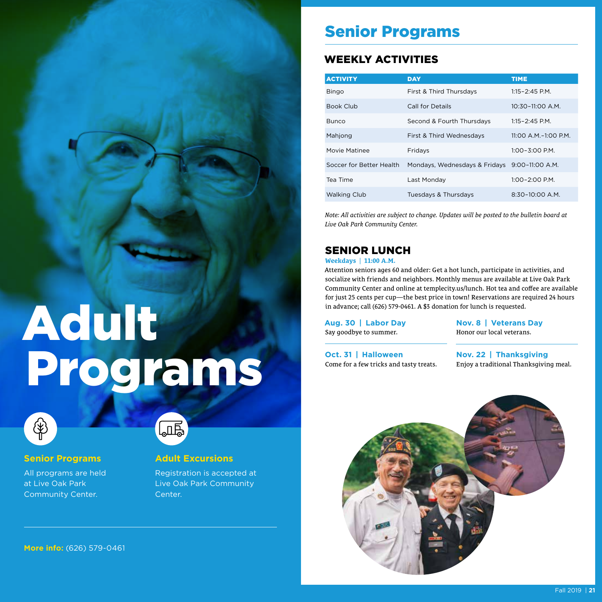### Senior Programs

#### WEEKLY ACTIVITIES

| <b>ACTIVITY</b>          | <b>DAY</b>                                    | <b>TIME</b>          |
|--------------------------|-----------------------------------------------|----------------------|
| <b>Bingo</b>             | First & Third Thursdays                       | $1:15 - 2:45$ P.M.   |
| <b>Book Club</b>         | Call for Details                              | 10:30-11:00 A.M.     |
| <b>Bunco</b>             | Second & Fourth Thursdays                     | $1:15 - 2:45$ P.M.   |
| Mahjong                  | First & Third Wednesdays                      | 11:00 A.M.-1:00 P.M. |
| Movie Matinee            | Fridays                                       | 1:00-3:00 P.M.       |
| Soccer for Better Health | Mondays, Wednesdays & Fridays 9:00-11:00 A.M. |                      |
| Tea Time                 | Last Monday                                   | $1:00-2:00$ P.M.     |
| <b>Walking Club</b>      | Tuesdays & Thursdays                          | $8:30-10:00$ A.M.    |

*Live Oak Park Community Center.*

#### SENIOR LUNCH

#### **Weekdays** | **11:00 A.M.**

Attention seniors ages 60 and older: Get a hot lunch, participate in activities, and socialize with friends and neighbors. Monthly menus are available at Live Oak Park Community Center and online at templecity.us/lunch. Hot tea and coffee are available for just 25 cents per cup—the best price in town! Reservations are required 24 hours in advance; call (626) 579-0461. A \$3 donation for lunch is requested.

**Aug. 30 | Labor Day** Say goodbye to summer.

**Oct. 31 | Halloween**

Come for a few tricks and tasty treats.

**Nov. 8 | Veterans Day** Honor our local veterans.

**Nov. 22 | Thanksgiving** Enjoy a traditional Thanksgiving meal.



Adult Programs



**Senior Programs**

All programs are held at Live Oak Park Community Center.

## ௶

#### **Adult Excursions**

Registration is accepted at Live Oak Park Community Center.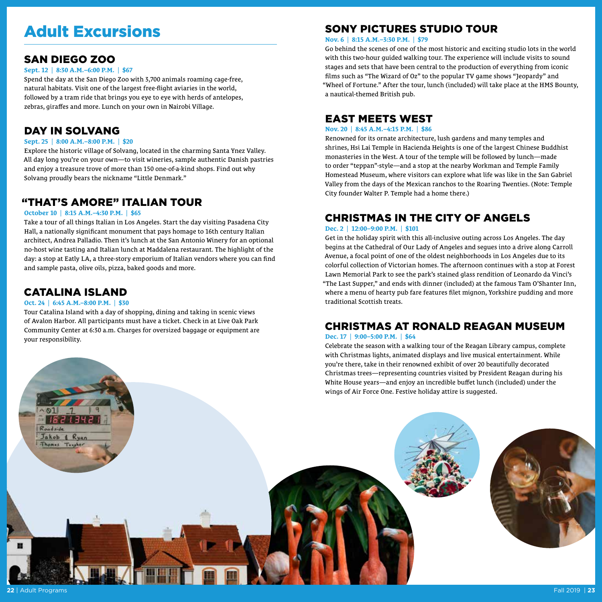## Adult Excursions

#### SAN DIEGO ZOO

#### **Sept. 12** | **8:30 A.M.–6:00 P.M.** | **\$67**

Spend the day at the San Diego Zoo with 3,700 animals roaming cage-free, natural habitats. Visit one of the largest free-flight aviaries in the world, followed by a tram ride that brings you eye to eye with herds of antelopes, zebras, giraffes and more. Lunch on your own in Nairobi Village.

#### DAY IN SOLVANG

#### **Sept. 25** | **8:00 A.M.–8:00 P.M.** | **\$20**

Explore the historic village of Solvang, located in the charming Santa Ynez Valley. All day long you're on your own—to visit wineries, sample authentic Danish pastries and enjoy a treasure trove of more than 150 one-of-a-kind shops. Find out why Solvang proudly bears the nickname "Little Denmark."

#### "THAT'S AMORE" ITALIAN TOUR

#### **October 10** | **8:15 A.M.–4:30 P.M.** | **\$65**

Take a tour of all things Italian in Los Angeles. Start the day visiting Pasadena City Hall, a nationally significant monument that pays homage to 16th century Italian architect, Andrea Palladio. Then it's lunch at the San Antonio Winery for an optional no-host wine tasting and Italian lunch at Maddalena restaurant. The highlight of the day: a stop at Eatly LA, a three-story emporium of Italian vendors where you can find and sample pasta, olive oils, pizza, baked goods and more.

#### CATALINA ISLAND

#### **Oct. 24** | **6:45 A.M.–8:00 P.M.** | **\$30**

Jakob & Ryan Thomas Taugh

Tour Catalina Island with a day of shopping, dining and taking in scenic views of Avalon Harbor. All participants must have a ticket. Check in at Live Oak Park Community Center at 6:30 a.m. Charges for oversized baggage or equipment are your responsibility.

#### SONY PICTURES STUDIO TOUR

**Nov. 6** | **8:15 A.M.–3:30 P.M.** | **\$79**

Go behind the scenes of one of the most historic and exciting studio lots in the world with this two-hour guided walking tour. The experience will include visits to sound stages and sets that have been central to the production of everything from iconic films such as "The Wizard of Oz" to the popular TV game shows "Jeopardy" and "Wheel of Fortune." After the tour, lunch (included) will take place at the HMS Bounty, a nautical-themed British pub.

#### EAST MEETS WEST

#### **Nov. 20** | **8:45 A.M.–4:15 P.M.** | **\$86**

Renowned for its ornate architecture, lush gardens and many temples and shrines, Hsi Lai Temple in Hacienda Heights is one of the largest Chinese Buddhist monasteries in the West. A tour of the temple will be followed by lunch—made to order "teppan"-style—and a stop at the nearby Workman and Temple Family Homestead Museum, where visitors can explore what life was like in the San Gabriel Valley from the days of the Mexican ranchos to the Roaring Twenties. (Note: Temple City founder Walter P. Temple had a home there.)

#### CHRISTMAS IN THE CITY OF ANGELS

#### **Dec. 2** | **12:00–9:00 P.M.** | **\$101**

Get in the holiday spirit with this all-inclusive outing across Los Angeles. The day begins at the Cathedral of Our Lady of Angeles and segues into a drive along Carroll Avenue, a focal point of one of the oldest neighborhoods in Los Angeles due to its colorful collection of Victorian homes. The afternoon continues with a stop at Forest Lawn Memorial Park to see the park's stained glass rendition of Leonardo da Vinci's "The Last Supper," and ends with dinner (included) at the famous Tam O'Shanter Inn, where a menu of hearty pub fare features filet mignon, Yorkshire pudding and more traditional Scottish treats.

#### CHRISTMAS AT RONALD REAGAN MUSEUM

#### **Dec. 17** | **9:00–5:00 P.M.** | **\$64**

Celebrate the season with a walking tour of the Reagan Library campus, complete with Christmas lights, animated displays and live musical entertainment. While you're there, take in their renowned exhibit of over 20 beautifully decorated Christmas trees—representing countries visited by President Reagan during his White House years—and enjoy an incredible buffet lunch (included) under the wings of Air Force One. Festive holiday attire is suggested.